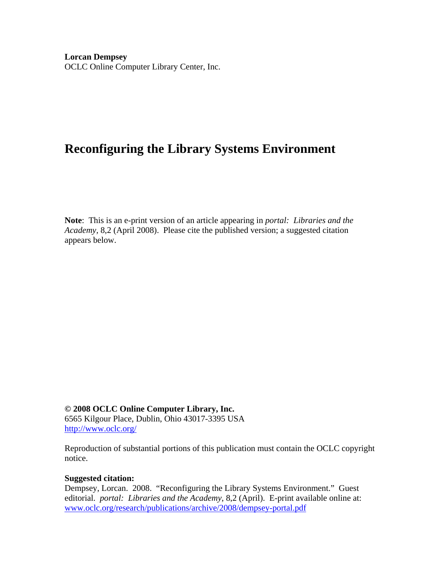**Lorcan Dempsey**  OCLC Online Computer Library Center, Inc.

# **Reconfiguring the Library Systems Environment**

**Note**: This is an e-print version of an article appearing in *portal: Libraries and the Academy,* 8,2 (April 2008). Please cite the published version; a suggested citation appears below.

**© 2008 OCLC Online Computer Library, Inc.** 6565 Kilgour Place, Dublin, Ohio 43017-3395 USA <http://www.oclc.org/>

Reproduction of substantial portions of this publication must contain the OCLC copyright notice.

### **Suggested citation:**

Dempsey, Lorcan. 2008. "Reconfiguring the Library Systems Environment." Guest editorial. *portal: Libraries and the Academy*, 8,2 (April). E-print available online at: [www.oclc.org/research/publications/archive/2008/dempsey-portal.pdf](http://www.oclc.org/research/publications/archive/2008/dempsey-portal.pdf)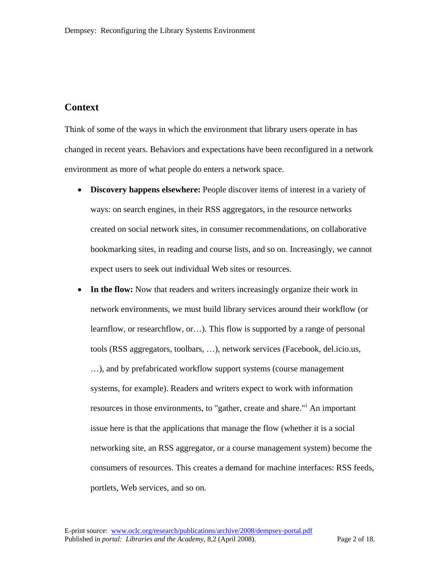## **Context**

Think of some of the ways in which the environment that library users operate in has changed in recent years. Behaviors and expectations have been reconfigured in a network environment as more of what people do enters a network space.

- **Discovery happens elsewhere:** People discover items of interest in a variety of ways: on search engines, in their RSS aggregators, in the resource networks created on social network sites, in consumer recommendations, on collaborative bookmarking sites, in reading and course lists, and so on. Increasingly, we cannot expect users to seek out individual Web sites or resources.
- In the flow: Now that readers and writers increasingly organize their work in network environments, we must build library services around their workflow (or learnflow, or researchflow, or…). This flow is supported by a range of personal tools (RSS aggregators, toolbars, …), network services (Facebook, del.icio.us, …), and by prefabricated workflow support systems (course management systems, for example). Readers and writers expect to work with information resources [i](#page-17-0)n those environments, to "gather, create and share."<sup>i</sup> An important issue here is that the applications that manage the flow (whether it is a social networking site, an RSS aggregator, or a course management system) become the consumers of resources. This creates a demand for machine interfaces: RSS feeds, portlets, Web services, and so on.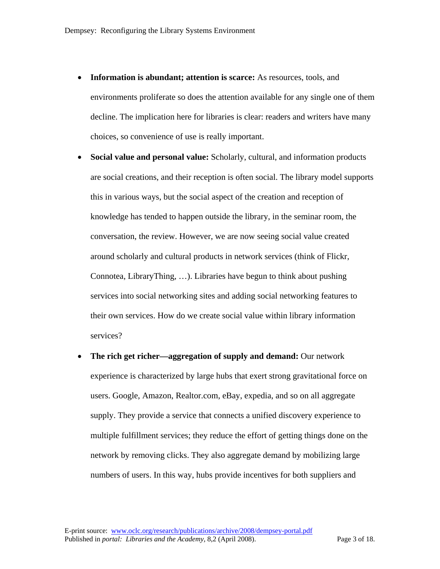- **Information is abundant; attention is scarce:** As resources, tools, and environments proliferate so does the attention available for any single one of them decline. The implication here for libraries is clear: readers and writers have many choices, so convenience of use is really important.
- **Social value and personal value:** Scholarly, cultural, and information products are social creations, and their reception is often social. The library model supports this in various ways, but the social aspect of the creation and reception of knowledge has tended to happen outside the library, in the seminar room, the conversation, the review. However, we are now seeing social value created around scholarly and cultural products in network services (think of Flickr, Connotea, LibraryThing, …). Libraries have begun to think about pushing services into social networking sites and adding social networking features to their own services. How do we create social value within library information services?
- **The rich get richer—aggregation of supply and demand:** Our network experience is characterized by large hubs that exert strong gravitational force on users. Google, Amazon, Realtor.com, eBay, expedia, and so on all aggregate supply. They provide a service that connects a unified discovery experience to multiple fulfillment services; they reduce the effort of getting things done on the network by removing clicks. They also aggregate demand by mobilizing large numbers of users. In this way, hubs provide incentives for both suppliers and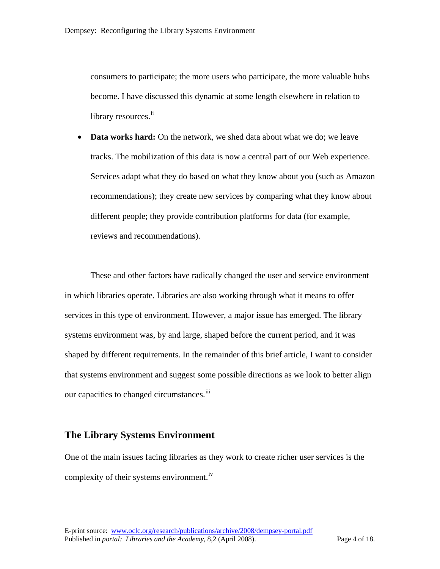consumers to participate; the more users who participate, the more valuable hubs become. I have discussed this dynamic at some length elsewhere in relation to library resources.<sup>[ii](#page-17-1)</sup>

• **Data works hard:** On the network, we shed data about what we do; we leave tracks. The mobilization of this data is now a central part of our Web experience. Services adapt what they do based on what they know about you (such as Amazon recommendations); they create new services by comparing what they know about different people; they provide contribution platforms for data (for example, reviews and recommendations).

These and other factors have radically changed the user and service environment in which libraries operate. Libraries are also working through what it means to offer services in this type of environment. However, a major issue has emerged. The library systems environment was, by and large, shaped before the current period, and it was shaped by different requirements. In the remainder of this brief article, I want to consider that systems environment and suggest some possible directions as we look to better align our capacities to changed circumstances.<sup>[iii](#page-17-1)</sup>

### **The Library Systems Environment**

One of the main issues facing libraries as they work to create richer user services is the complexity of their systems environment.<sup>[iv](#page-17-1)</sup>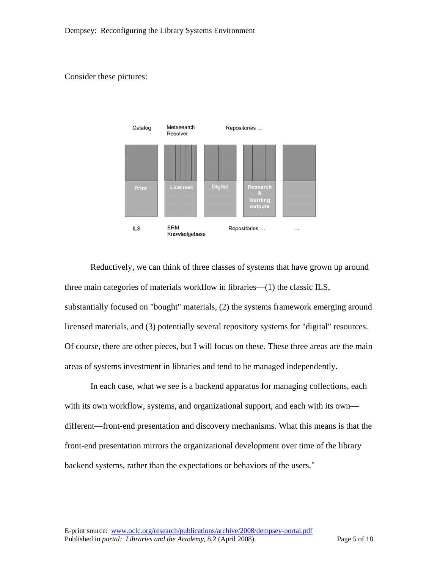#### Consider these pictures:



Reductively, we can think of three classes of systems that have grown up around three main categories of materials workflow in libraries—(1) the classic ILS, substantially focused on "bought" materials, (2) the systems framework emerging around licensed materials, and (3) potentially several repository systems for "digital" resources. Of course, there are other pieces, but I will focus on these. These three areas are the main areas of systems investment in libraries and tend to be managed independently.

In each case, what we see is a backend apparatus for managing collections, each with its own workflow, systems, and organizational support, and each with its own different—front-end presentation and discovery mechanisms. What this means is that the front-end presentation mirrors the organizational development over time of the library backend systems, rather than the expectations or beha[v](#page-17-1)iors of the users. $v^2$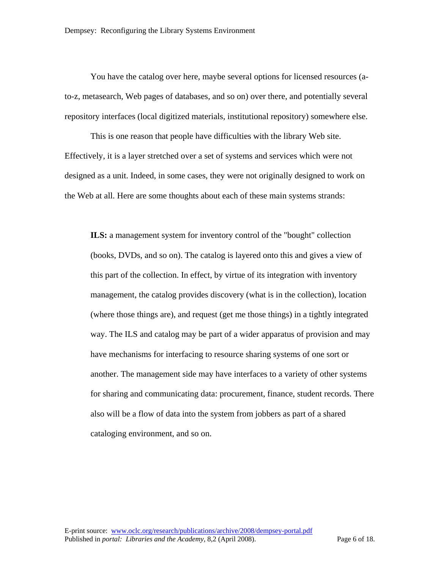You have the catalog over here, maybe several options for licensed resources (ato-z, metasearch, Web pages of databases, and so on) over there, and potentially several repository interfaces (local digitized materials, institutional repository) somewhere else.

This is one reason that people have difficulties with the library Web site. Effectively, it is a layer stretched over a set of systems and services which were not designed as a unit. Indeed, in some cases, they were not originally designed to work on the Web at all. Here are some thoughts about each of these main systems strands:

**ILS:** a management system for inventory control of the "bought" collection (books, DVDs, and so on). The catalog is layered onto this and gives a view of this part of the collection. In effect, by virtue of its integration with inventory management, the catalog provides discovery (what is in the collection), location (where those things are), and request (get me those things) in a tightly integrated way. The ILS and catalog may be part of a wider apparatus of provision and may have mechanisms for interfacing to resource sharing systems of one sort or another. The management side may have interfaces to a variety of other systems for sharing and communicating data: procurement, finance, student records. There also will be a flow of data into the system from jobbers as part of a shared cataloging environment, and so on.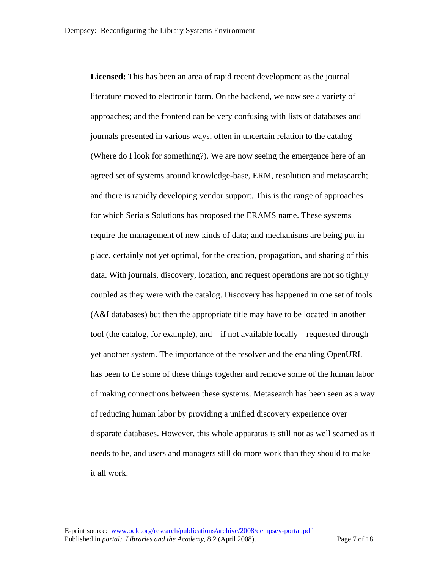**Licensed:** This has been an area of rapid recent development as the journal literature moved to electronic form. On the backend, we now see a variety of approaches; and the frontend can be very confusing with lists of databases and journals presented in various ways, often in uncertain relation to the catalog (Where do I look for something?). We are now seeing the emergence here of an agreed set of systems around knowledge-base, ERM, resolution and metasearch; and there is rapidly developing vendor support. This is the range of approaches for which Serials Solutions has proposed the ERAMS name. These systems require the management of new kinds of data; and mechanisms are being put in place, certainly not yet optimal, for the creation, propagation, and sharing of this data. With journals, discovery, location, and request operations are not so tightly coupled as they were with the catalog. Discovery has happened in one set of tools (A&I databases) but then the appropriate title may have to be located in another tool (the catalog, for example), and—if not available locally—requested through yet another system. The importance of the resolver and the enabling OpenURL has been to tie some of these things together and remove some of the human labor of making connections between these systems. Metasearch has been seen as a way of reducing human labor by providing a unified discovery experience over disparate databases. However, this whole apparatus is still not as well seamed as it needs to be, and users and managers still do more work than they should to make it all work.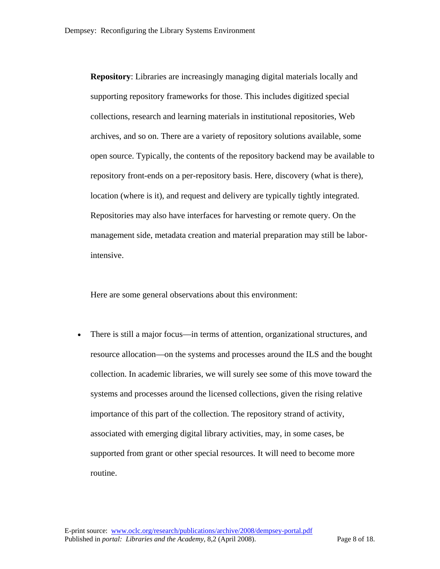**Repository**: Libraries are increasingly managing digital materials locally and supporting repository frameworks for those. This includes digitized special collections, research and learning materials in institutional repositories, Web archives, and so on. There are a variety of repository solutions available, some open source. Typically, the contents of the repository backend may be available to repository front-ends on a per-repository basis. Here, discovery (what is there), location (where is it), and request and delivery are typically tightly integrated. Repositories may also have interfaces for harvesting or remote query. On the management side, metadata creation and material preparation may still be laborintensive.

Here are some general observations about this environment:

• There is still a major focus—in terms of attention, organizational structures, and resource allocation—on the systems and processes around the ILS and the bought collection. In academic libraries, we will surely see some of this move toward the systems and processes around the licensed collections, given the rising relative importance of this part of the collection. The repository strand of activity, associated with emerging digital library activities, may, in some cases, be supported from grant or other special resources. It will need to become more routine.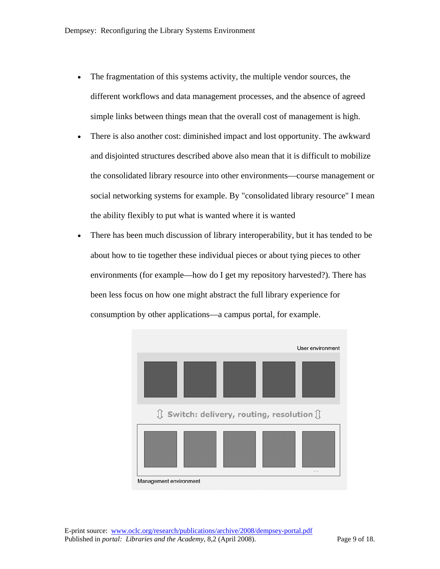- The fragmentation of this systems activity, the multiple vendor sources, the different workflows and data management processes, and the absence of agreed simple links between things mean that the overall cost of management is high.
- There is also another cost: diminished impact and lost opportunity. The awkward and disjointed structures described above also mean that it is difficult to mobilize the consolidated library resource into other environments—course management or social networking systems for example. By "consolidated library resource" I mean the ability flexibly to put what is wanted where it is wanted
- There has been much discussion of library interoperability, but it has tended to be about how to tie together these individual pieces or about tying pieces to other environments (for example—how do I get my repository harvested?). There has been less focus on how one might abstract the full library experience for consumption by other applications—a campus portal, for example.

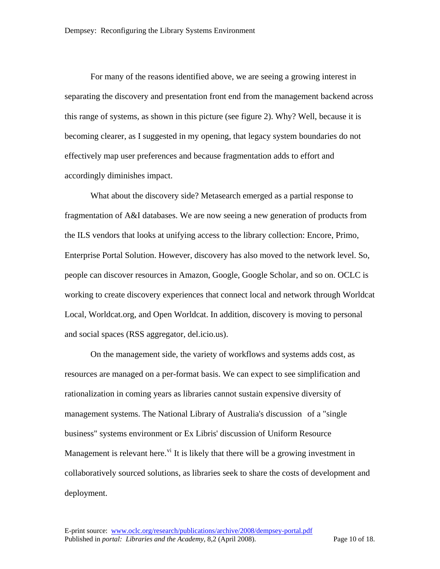For many of the reasons identified above, we are seeing a growing interest in separating the discovery and presentation front end from the management backend across this range of systems, as shown in this picture (see figure 2). Why? Well, because it is becoming clearer, as I suggested in my opening, that legacy system boundaries do not effectively map user preferences and because fragmentation adds to effort and accordingly diminishes impact.

What about the discovery side? Metasearch emerged as a partial response to fragmentation of A&I databases. We are now seeing a new generation of products from the ILS vendors that looks at unifying access to the library collection: Encore, Primo, Enterprise Portal Solution. However, discovery has also moved to the network level. So, people can discover resources in Amazon, Google, Google Scholar, and so on. OCLC is working to create discovery experiences that connect local and network through Worldcat Local, Worldcat.org, and Open Worldcat. In addition, discovery is moving to personal and social spaces (RSS aggregator, del.icio.us).

On the management side, the variety of workflows and systems adds cost, as resources are managed on a per-format basis. We can expect to see simplification and rationalization in coming years as libraries cannot sustain expensive diversity of management systems. The National Library of Australia's discussion of a "single business" systems environment or Ex Libris' discussion of Uniform Resource Management is relevant here.<sup>[vi](#page-17-1)</sup> It is likely that there will be a growing investment in collaboratively sourced solutions, as libraries seek to share the costs of development and deployment.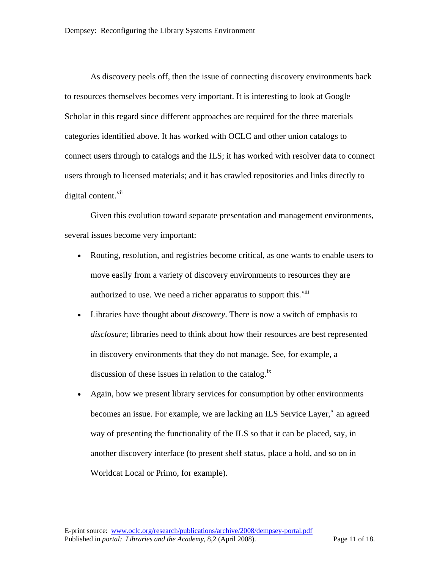As discovery peels off, then the issue of connecting discovery environments back to resources themselves becomes very important. It is interesting to look at Google Scholar in this regard since different approaches are required for the three materials categories identified above. It has worked with OCLC and other union catalogs to connect users through to catalogs and the ILS; it has worked with resolver data to connect users through to licensed materials; and it has crawled repositories and links directly to digital content.<sup>[vii](#page-17-1)</sup>

Given this evolution toward separate presentation and management environments, several issues become very important:

- Routing, resolution, and registries become critical, as one wants to enable users to move easily from a variety of discovery environments to resources they are authorized to use. We need a richer apparatus to support this. $v<sup>iii</sup>$
- Libraries have thought about *discovery*. There is now a switch of emphasis to *disclosure*; libraries need to think about how their resources are best represented in discovery environments that they do not manage. See, for example, a discussion of these issues in relation to the catalog. $^{1x}$
- Again, how we present library services for consumption by other environments becomes an issue. For e[x](#page-17-1)ample, we are lacking an ILS Service Layer,<sup>x</sup> an agreed way of presenting the functionality of the ILS so that it can be placed, say, in another discovery interface (to present shelf status, place a hold, and so on in Worldcat Local or Primo, for example).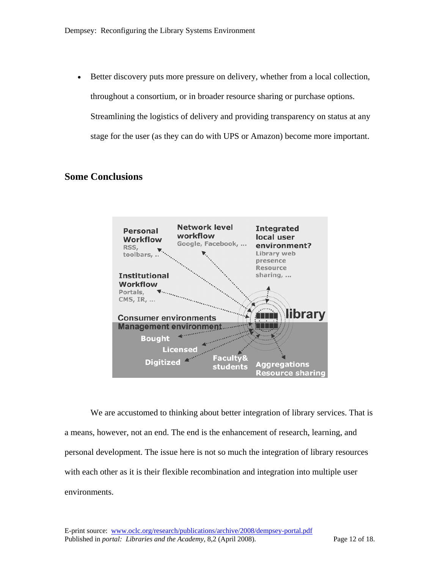• Better discovery puts more pressure on delivery, whether from a local collection, throughout a consortium, or in broader resource sharing or purchase options. Streamlining the logistics of delivery and providing transparency on status at any stage for the user (as they can do with UPS or Amazon) become more important.

## **Some Conclusions**



We are accustomed to thinking about better integration of library services. That is a means, however, not an end. The end is the enhancement of research, learning, and personal development. The issue here is not so much the integration of library resources with each other as it is their flexible recombination and integration into multiple user environments.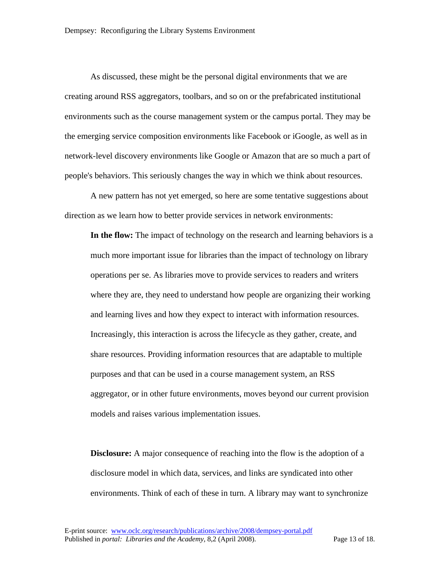As discussed, these might be the personal digital environments that we are creating around RSS aggregators, toolbars, and so on or the prefabricated institutional environments such as the course management system or the campus portal. They may be the emerging service composition environments like Facebook or iGoogle, as well as in network-level discovery environments like Google or Amazon that are so much a part of people's behaviors. This seriously changes the way in which we think about resources.

A new pattern has not yet emerged, so here are some tentative suggestions about direction as we learn how to better provide services in network environments:

**In the flow:** The impact of technology on the research and learning behaviors is a much more important issue for libraries than the impact of technology on library operations per se. As libraries move to provide services to readers and writers where they are, they need to understand how people are organizing their working and learning lives and how they expect to interact with information resources. Increasingly, this interaction is across the lifecycle as they gather, create, and share resources. Providing information resources that are adaptable to multiple purposes and that can be used in a course management system, an RSS aggregator, or in other future environments, moves beyond our current provision models and raises various implementation issues.

**Disclosure:** A major consequence of reaching into the flow is the adoption of a disclosure model in which data, services, and links are syndicated into other environments. Think of each of these in turn. A library may want to synchronize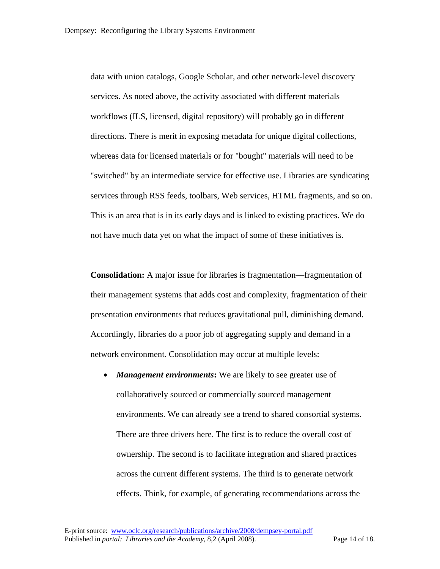data with union catalogs, Google Scholar, and other network-level discovery services. As noted above, the activity associated with different materials workflows (ILS, licensed, digital repository) will probably go in different directions. There is merit in exposing metadata for unique digital collections, whereas data for licensed materials or for "bought" materials will need to be "switched" by an intermediate service for effective use. Libraries are syndicating services through RSS feeds, toolbars, Web services, HTML fragments, and so on. This is an area that is in its early days and is linked to existing practices. We do not have much data yet on what the impact of some of these initiatives is.

**Consolidation:** A major issue for libraries is fragmentation—fragmentation of their management systems that adds cost and complexity, fragmentation of their presentation environments that reduces gravitational pull, diminishing demand. Accordingly, libraries do a poor job of aggregating supply and demand in a network environment. Consolidation may occur at multiple levels:

• *Management environments*: We are likely to see greater use of collaboratively sourced or commercially sourced management environments. We can already see a trend to shared consortial systems. There are three drivers here. The first is to reduce the overall cost of ownership. The second is to facilitate integration and shared practices across the current different systems. The third is to generate network effects. Think, for example, of generating recommendations across the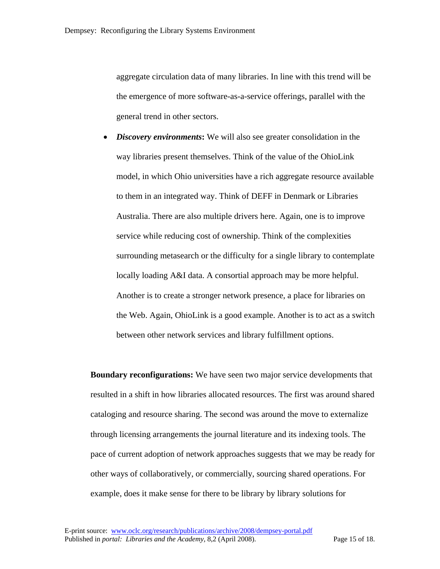aggregate circulation data of many libraries. In line with this trend will be the emergence of more software-as-a-service offerings, parallel with the general trend in other sectors.

• *Discovery environments***:** We will also see greater consolidation in the way libraries present themselves. Think of the value of the OhioLink model, in which Ohio universities have a rich aggregate resource available to them in an integrated way. Think of DEFF in Denmark or Libraries Australia. There are also multiple drivers here. Again, one is to improve service while reducing cost of ownership. Think of the complexities surrounding metasearch or the difficulty for a single library to contemplate locally loading A&I data. A consortial approach may be more helpful. Another is to create a stronger network presence, a place for libraries on the Web. Again, OhioLink is a good example. Another is to act as a switch between other network services and library fulfillment options.

**Boundary reconfigurations:** We have seen two major service developments that resulted in a shift in how libraries allocated resources. The first was around shared cataloging and resource sharing. The second was around the move to externalize through licensing arrangements the journal literature and its indexing tools. The pace of current adoption of network approaches suggests that we may be ready for other ways of collaboratively, or commercially, sourcing shared operations. For example, does it make sense for there to be library by library solutions for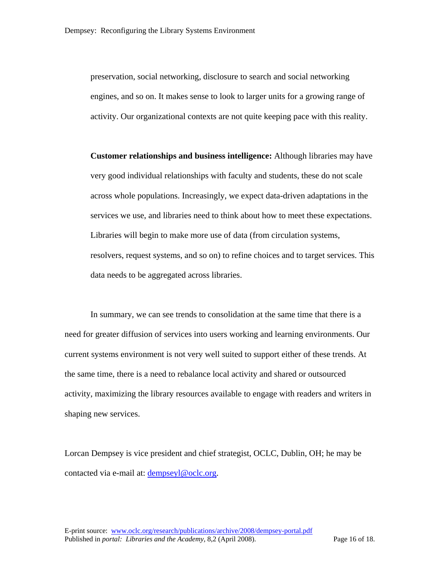preservation, social networking, disclosure to search and social networking engines, and so on. It makes sense to look to larger units for a growing range of activity. Our organizational contexts are not quite keeping pace with this reality.

**Customer relationships and business intelligence:** Although libraries may have very good individual relationships with faculty and students, these do not scale across whole populations. Increasingly, we expect data-driven adaptations in the services we use, and libraries need to think about how to meet these expectations. Libraries will begin to make more use of data (from circulation systems, resolvers, request systems, and so on) to refine choices and to target services. This data needs to be aggregated across libraries.

In summary, we can see trends to consolidation at the same time that there is a need for greater diffusion of services into users working and learning environments. Our current systems environment is not very well suited to support either of these trends. At the same time, there is a need to rebalance local activity and shared or outsourced activity, maximizing the library resources available to engage with readers and writers in shaping new services.

Lorcan Dempsey is vice president and chief strategist, OCLC, Dublin, OH; he may be contacted via e-mail at: [dempseyl@oclc.org](mailto:dempseyl@oclc.org).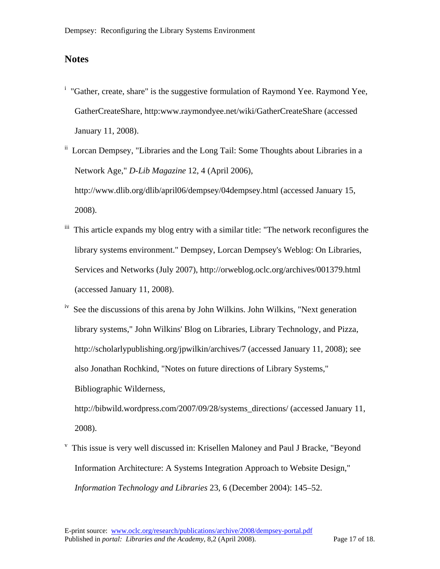## **Notes**

- <sup>i</sup> "Gather, create, share" is the suggestive formulation of Raymond Yee. Raymond Yee, GatherCreateShare, http:www.raymondyee.net/wiki/GatherCreateShare (accessed January 11, 2008).
- ii Lorcan Dempsey, "Libraries and the Long Tail: Some Thoughts about Libraries in a Network Age," *D-Lib Magazine* 12, 4 (April 2006), http://www.dlib.org/dlib/april06/dempsey/04dempsey.html (accessed January 15, 2008).
- iii This article expands my blog entry with a similar title: "The network reconfigures the library systems environment." Dempsey, Lorcan Dempsey's Weblog: On Libraries, Services and Networks (July 2007), http://orweblog.oclc.org/archives/001379.html (accessed January 11, 2008).
- See the discussions of this arena by John Wilkins. John Wilkins, "Next generation library systems," John Wilkins' Blog on Libraries, Library Technology, and Pizza, http://scholarlypublishing.org/jpwilkin/archives/7 (accessed January 11, 2008); see also Jonathan Rochkind, "Notes on future directions of Library Systems," Bibliographic Wilderness,

http://bibwild.wordpress.com/2007/09/28/systems\_directions/ (accessed January 11, 2008).

v This issue is very well discussed in: Krisellen Maloney and Paul J Bracke, "Beyond Information Architecture: A Systems Integration Approach to Website Design," *Information Technology and Libraries* 23, 6 (December 2004): 145–52.